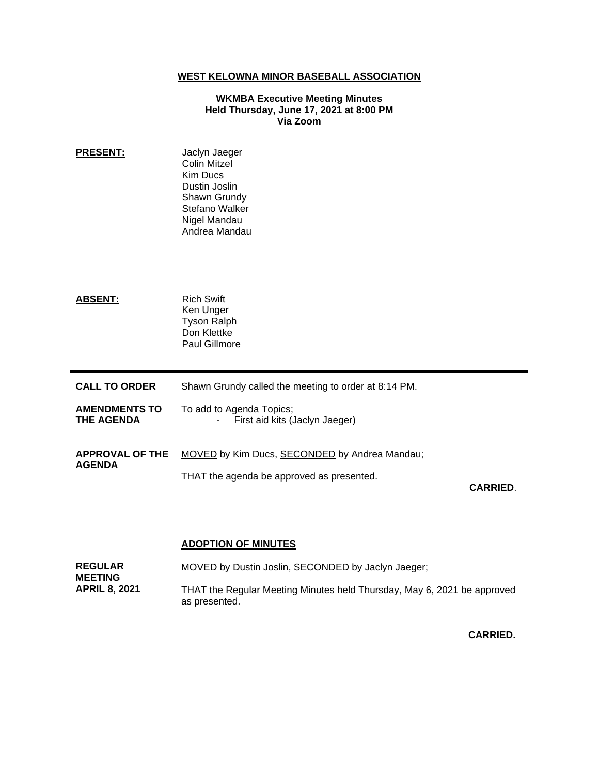## **WEST KELOWNA MINOR BASEBALL ASSOCIATION**

### **WKMBA Executive Meeting Minutes Held Thursday, June 17, 2021 at 8:00 PM Via Zoom**

- **PRESENT:** Jaclyn Jaeger Colin Mitzel Kim Ducs Dustin Joslin Shawn Grundy Stefano Walker Nigel Mandau Andrea Mandau
- ABSENT: Rich Swift Ken Unger Tyson Ralph Don Klettke Paul Gillmore
- **CALL TO ORDER** Shawn Grundy called the meeting to order at 8:14 PM.
- **AMENDMENTS TO THE AGENDA** To add to Agenda Topics; - First aid kits (Jaclyn Jaeger)
- **APPROVAL OF THE AGENDA** MOVED by Kim Ducs, SECONDED by Andrea Mandau; THAT the agenda be approved as presented.

**CARRIED**.

### **ADOPTION OF MINUTES**

| <b>REGULAR</b>       | MOVED by Dustin Joslin, SECONDED by Jaclyn Jaeger;                      |
|----------------------|-------------------------------------------------------------------------|
| <b>MEETING</b>       |                                                                         |
| <b>APRIL 8, 2021</b> | THAT the Regular Meeting Minutes held Thursday, May 6, 2021 be approved |
|                      | as presented.                                                           |

**CARRIED.**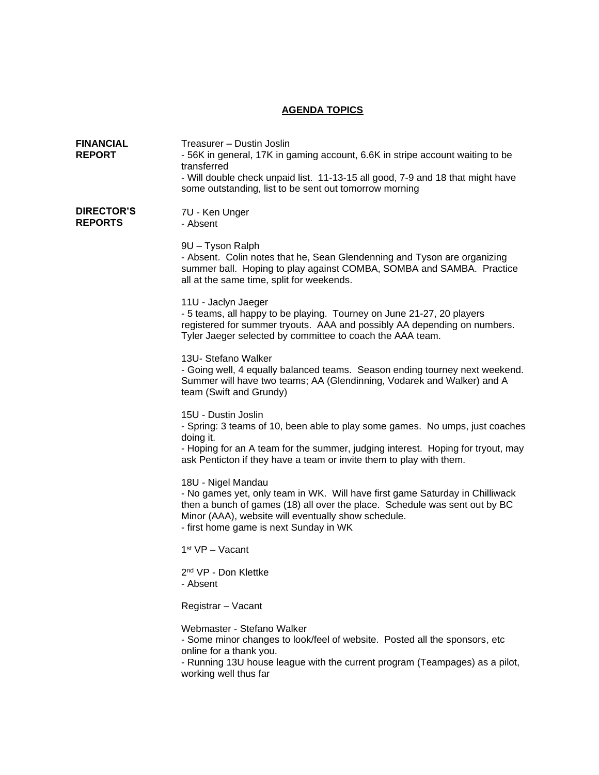# **AGENDA TOPICS**

| <b>FINANCIAL</b><br><b>REPORT</b>   | Treasurer - Dustin Joslin<br>- 56K in general, 17K in gaming account, 6.6K in stripe account waiting to be<br>transferred<br>- Will double check unpaid list. 11-13-15 all good, 7-9 and 18 that might have<br>some outstanding, list to be sent out tomorrow morning             |
|-------------------------------------|-----------------------------------------------------------------------------------------------------------------------------------------------------------------------------------------------------------------------------------------------------------------------------------|
| <b>DIRECTOR'S</b><br><b>REPORTS</b> | 7U - Ken Unger<br>- Absent                                                                                                                                                                                                                                                        |
|                                     | 9U - Tyson Ralph<br>- Absent. Colin notes that he, Sean Glendenning and Tyson are organizing<br>summer ball. Hoping to play against COMBA, SOMBA and SAMBA. Practice<br>all at the same time, split for weekends.                                                                 |
|                                     | 11U - Jaclyn Jaeger<br>- 5 teams, all happy to be playing. Tourney on June 21-27, 20 players<br>registered for summer tryouts. AAA and possibly AA depending on numbers.<br>Tyler Jaeger selected by committee to coach the AAA team.                                             |
|                                     | 13U- Stefano Walker<br>- Going well, 4 equally balanced teams. Season ending tourney next weekend.<br>Summer will have two teams; AA (Glendinning, Vodarek and Walker) and A<br>team (Swift and Grundy)                                                                           |
|                                     | 15U - Dustin Joslin<br>- Spring: 3 teams of 10, been able to play some games. No umps, just coaches<br>doing it.<br>- Hoping for an A team for the summer, judging interest. Hoping for tryout, may<br>ask Penticton if they have a team or invite them to play with them.        |
|                                     | 18U - Nigel Mandau<br>- No games yet, only team in WK. Will have first game Saturday in Chilliwack<br>then a bunch of games (18) all over the place. Schedule was sent out by BC<br>Minor (AAA), website will eventually show schedule.<br>- first home game is next Sunday in WK |
|                                     | 1 <sup>st</sup> VP - Vacant                                                                                                                                                                                                                                                       |
|                                     | 2 <sup>nd</sup> VP - Don Klettke<br>- Absent                                                                                                                                                                                                                                      |
|                                     | Registrar - Vacant                                                                                                                                                                                                                                                                |
|                                     | Webmaster - Stefano Walker<br>- Some minor changes to look/feel of website. Posted all the sponsors, etc<br>online for a thank you.<br>- Running 13U house league with the current program (Teampages) as a pilot,<br>working well thus far                                       |
|                                     |                                                                                                                                                                                                                                                                                   |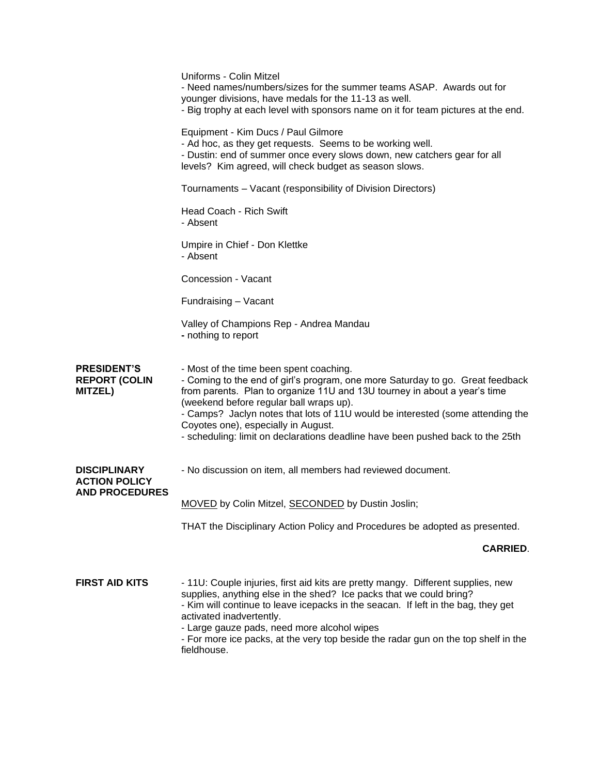|                                                              | Uniforms - Colin Mitzel<br>- Need names/numbers/sizes for the summer teams ASAP. Awards out for<br>younger divisions, have medals for the 11-13 as well.<br>- Big trophy at each level with sponsors name on it for team pictures at the end.                                                                                                                                                                                                                |
|--------------------------------------------------------------|--------------------------------------------------------------------------------------------------------------------------------------------------------------------------------------------------------------------------------------------------------------------------------------------------------------------------------------------------------------------------------------------------------------------------------------------------------------|
|                                                              | Equipment - Kim Ducs / Paul Gilmore<br>- Ad hoc, as they get requests. Seems to be working well.<br>- Dustin: end of summer once every slows down, new catchers gear for all<br>levels? Kim agreed, will check budget as season slows.                                                                                                                                                                                                                       |
|                                                              | Tournaments - Vacant (responsibility of Division Directors)                                                                                                                                                                                                                                                                                                                                                                                                  |
|                                                              | Head Coach - Rich Swift<br>- Absent                                                                                                                                                                                                                                                                                                                                                                                                                          |
|                                                              | Umpire in Chief - Don Klettke<br>- Absent                                                                                                                                                                                                                                                                                                                                                                                                                    |
|                                                              | Concession - Vacant                                                                                                                                                                                                                                                                                                                                                                                                                                          |
|                                                              | Fundraising - Vacant                                                                                                                                                                                                                                                                                                                                                                                                                                         |
|                                                              | Valley of Champions Rep - Andrea Mandau<br>- nothing to report                                                                                                                                                                                                                                                                                                                                                                                               |
| <b>PRESIDENT'S</b><br><b>REPORT (COLIN</b><br><b>MITZEL)</b> | - Most of the time been spent coaching.<br>- Coming to the end of girl's program, one more Saturday to go. Great feedback<br>from parents. Plan to organize 11U and 13U tourney in about a year's time<br>(weekend before regular ball wraps up).<br>- Camps? Jaclyn notes that lots of 11U would be interested (some attending the<br>Coyotes one), especially in August.<br>- scheduling: limit on declarations deadline have been pushed back to the 25th |
| <b>DISCIPLINARY</b><br><b>ACTION POLICY</b>                  | - No discussion on item, all members had reviewed document.                                                                                                                                                                                                                                                                                                                                                                                                  |
| <b>AND PROCEDURES</b>                                        | MOVED by Colin Mitzel, SECONDED by Dustin Joslin;                                                                                                                                                                                                                                                                                                                                                                                                            |
|                                                              | THAT the Disciplinary Action Policy and Procedures be adopted as presented.                                                                                                                                                                                                                                                                                                                                                                                  |
|                                                              | <b>CARRIED.</b>                                                                                                                                                                                                                                                                                                                                                                                                                                              |
| <b>FIRST AID KITS</b>                                        | - 11U: Couple injuries, first aid kits are pretty mangy. Different supplies, new<br>supplies, anything else in the shed? Ice packs that we could bring?<br>- Kim will continue to leave icepacks in the seacan. If left in the bag, they get<br>activated inadvertently.<br>- Large gauze pads, need more alcohol wipes<br>- For more ice packs, at the very top beside the radar gun on the top shelf in the<br>fieldhouse.                                 |